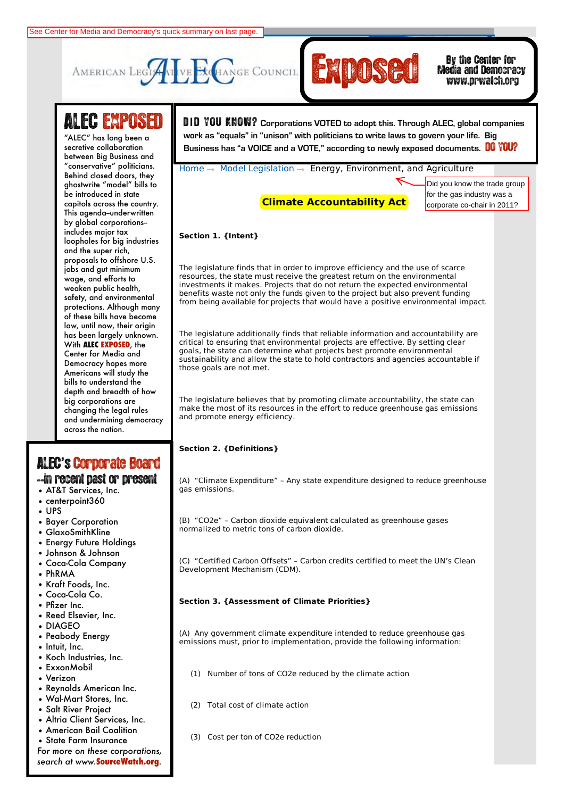



# Media and Democracy

## **ALEC EXPOSE**

between Big Business and Behind closed doors, they **Civil Justice** ghostwrite "model" bills to capitols across the country. This agenda-underwritten by global corporations-**Education** includes major tax and the super rich*,* **and Agriculture** proposals to offshore U.S. **Federal Relations** wage, and efforts to safety, and environmental **Services** protections. Although many **International Relations** of these bills have become **Public Safety and** has been largely unknown. **With ALEC EXPOSED, the** Democracy hopes more Americans will study the<br>Lill **and Information** bills to understand the **Technology** depth and breadth of how and undermining democracy across the nation. "ALEC" has long been a secretive collaboration "conservative" politicians. be introduced in state loopholes for big industries jobs and gut minimum weaken public health, law, until now, their origin Center for Media and big corporations are changing the legal rules

### ALEC**'**s'Corporate Board

### --in recent past or present

- AT&T Services, Inc.
- centerpoint360
- UPS
- Bayer Corporation
- GlaxoSmithKline
- Energy Future Holdings
- Johnson & Johnson
- Coca-Cola Company
- PhRMA
- Kraft Foods, Inc.
- Coca-Cola Co.
- Pfizer Inc.
- Reed Elsevier, Inc. • DIAGEO
- Peabody Energy
- Intuit, Inc.
- Koch Industries, Inc.
- ExxonMobil
- Verizon
- Reynolds American Inc.
- Wal-Mart Stores, Inc.
- Salt River Project
- Altria Client Services, Inc.
- American Bail Coalition
- State Farm Insurance

*For more on these corporations, search at www.***SourceWatch.org**.

Search GO **LOGIN** | **LOGOUT** | **HOME** | **JOIN ALEC** | **CONTACT** D **I** D YOU KNOW? **Corporations VOTED to adopt this. Through ALEC, global companies**  ALLC Thus long been under the members of the metal than personality to three lattic to general peak more legislation<br>ecretive collaboration **DO YOU?**<br>Business has "a VOICE and a VOTE," according to newly exposed documents. **work as "equals" in "unison" with politicians to write laws to govern your life. Big** 

Home  $\rightarrow$  Model Legislation  $\rightarrow$  Energy, Environment, and Agriculture

**Climate Accountability Act**

Did you know the trade group for the gas industry was a corporate co-chair in 2011?

#### **Section 1. {Intent}**

The legislature finds that in order to improve efficiency and the use of scarce resources, the state must receive the greatest return on the environmental investments it makes. Projects that do not return the expected environmental benefits waste not only the funds given to the project but also prevent funding from being available for projects that would have a positive environmental impact.

The legislature additionally finds that reliable information and accountability are critical to ensuring that environmental projects are effective. By setting clear goals, the state can determine what projects best promote environmental sustainability and allow the state to hold contractors and agencies accountable if those goals are not met.

The legislature believes that by promoting climate accountability, the state can make the most of its resources in the effort to reduce greenhouse gas emissions and promote energy efficiency.

#### **Section 2. {Definitions}**

(A) "Climate Expenditure" – Any state expenditure designed to reduce greenhouse gas emissions.

(B) "CO2e" – Carbon dioxide equivalent calculated as greenhouse gases normalized to metric tons of carbon dioxide.

(C) "Certified Carbon Offsets" – Carbon credits certified to meet the UN's Clean Development Mechanism (CDM).

#### **Section 3. {Assessment of Climate Priorities}**

(A) Any government climate expenditure intended to reduce greenhouse gas emissions must, prior to implementation, provide the following information:

- (1) Number of tons of CO2e reduced by the climate action
- (2) Total cost of climate action
- (3) Cost per ton of CO2e reduction